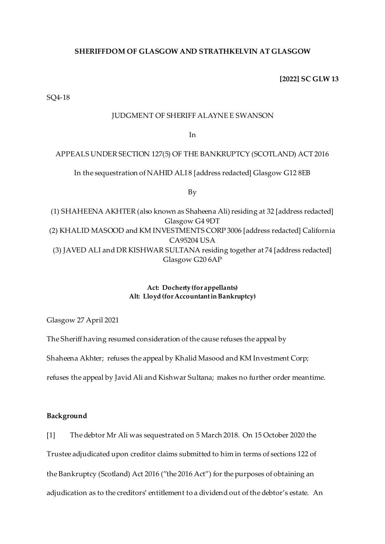# **SHERIFFDOM OF GLASGOW AND STRATHKELVIN AT GLASGOW**

# **[2022] SC GLW 13**

SQ4-18

### JUDGMENT OF SHERIFF ALAYNE E SWANSON

In

## APPEALS UNDER SECTION 127(5) OF THE BANKRUPTCY (SCOTLAND) ACT 2016

In the sequestration of NAHID ALI8 [address redacted] Glasgow G12 8EB

By

(1) SHAHEENA AKHTER (also known as Shaheena Ali) residing at 32 [address redacted] Glasgow G4 9DT (2) KHALID MASOOD and KM INVESTMENTS CORP 3006 [address redacted] California CA95204 USA (3) JAVED ALI and DR KISHWAR SULTANA residing together at 74 [address redacted] Glasgow G20 6AP

> **Act: Docherty (for appellants) Alt: Lloyd (for Accountant in Bankruptcy)**

Glasgow 27 April 2021

The Sheriff having resumed consideration of the cause refuses the appeal by

Shaheena Akhter; refuses the appeal by Khalid Masood and KM Investment Corp;

refuses the appeal by Javid Ali and Kishwar Sultana; makes no further order meantime.

## **Background**

[1] The debtor Mr Ali was sequestrated on 5 March 2018. On 15 October 2020 the Trustee adjudicated upon creditor claims submitted to him in terms of sections 122 of the Bankruptcy (Scotland) Act 2016 ("the 2016 Act") for the purposes of obtaining an adjudication as to the creditors' entitlement to a dividend out of the debtor's estate. An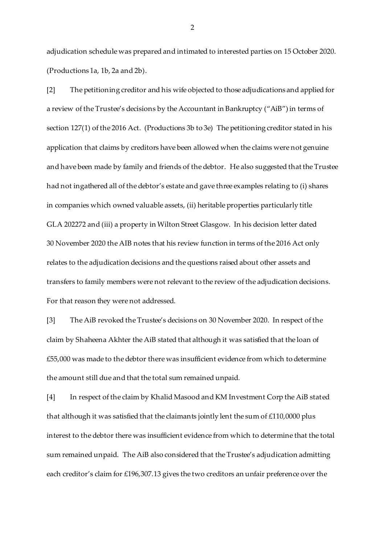adjudication schedule was prepared and intimated to interested parties on 15 October 2020. (Productions 1a, 1b, 2a and 2b).

[2] The petitioning creditor and his wife objected to those adjudications and applied for a review of the Trustee's decisions by the Accountant in Bankruptcy ("AiB") in terms of section 127(1) of the 2016 Act. (Productions 3b to 3e) The petitioning creditor stated in his application that claims by creditors have been allowed when the claims were not genuine and have been made by family and friends of the debtor. He also suggested that the Trustee had not ingathered all of the debtor's estate and gave three examples relating to (i) shares in companies which owned valuable assets, (ii) heritable properties particularly title GLA 202272 and (iii) a property in Wilton Street Glasgow. In his decision letter dated 30 November 2020 the AIB notes that his review function in terms of the 2016 Act only relates to the adjudication decisions and the questions raised about other assets and transfers to family members were not relevant to the review of the adjudication decisions. For that reason they were not addressed.

[3] The AiB revoked the Trustee's decisions on 30 November 2020. In respect of the claim by Shaheena Akhter the AiB stated that although it was satisfied that the loan of £55,000 was made to the debtor there was insufficient evidence from which to determine the amount still due and that the total sum remained unpaid.

[4] In respect of the claim by Khalid Masood and KM Investment Corp the AiB stated that although it was satisfied that the claimants jointly lent the sum of £110,0000 plus interest to the debtor there was insufficient evidence from which to determine that the total sum remained unpaid. The AiB also considered that the Trustee's adjudication admitting each creditor's claim for £196,307.13 gives the two creditors an unfair preference over the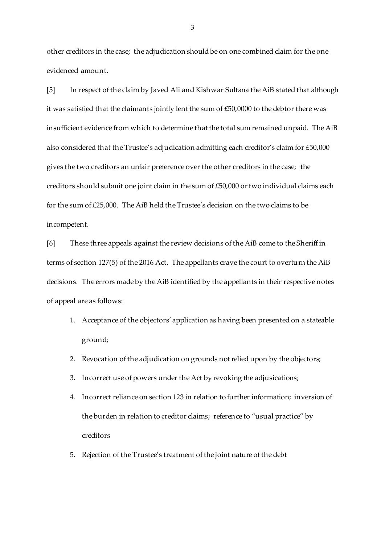other creditors in the case; the adjudication should be on one combined claim for the one evidenced amount.

[5] In respect of the claim by Javed Ali and Kishwar Sultana the AiB stated that although it was satisfied that the claimants jointly lent the sum of £50,0000 to the debtor there was insufficient evidence from which to determine that the total sum remained unpaid. The AiB also considered that the Trustee's adjudication admitting each creditor's claim for £50,000 gives the two creditors an unfair preference over the other creditors in the case; the creditors should submit one joint claim in the sum of £50,000 or two individual claims each for the sum of £25,000. The AiB held the Trustee's decision on the two claims to be incompetent.

[6] These three appeals against the review decisions of the AiB come to the Sheriff in terms of section 127(5) of the 2016 Act. The appellants crave the court to overturn the AiB decisions. The errors made by the AiB identified by the appellants in their respective notes of appeal are as follows:

- 1. Acceptance of the objectors' application as having been presented on a stateable ground;
- 2. Revocation of the adjudication on grounds not relied upon by the objectors;
- 3. Incorrect use of powers under the Act by revoking the adjusications;
- 4. Incorrect reliance on section 123 in relation to further information; inversion of the burden in relation to creditor claims; reference to "usual practice" by creditors
- 5. Rejection of the Trustee's treatment of the joint nature of the debt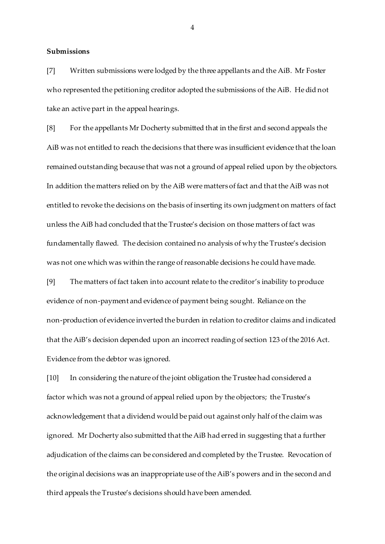**Submissions**

[7] Written submissions were lodged by the three appellants and the AiB. Mr Foster who represented the petitioning creditor adopted the submissions of the AiB. He did not take an active part in the appeal hearings.

[8] For the appellants Mr Docherty submitted that in the first and second appeals the AiB was not entitled to reach the decisions that there was insufficient evidence that the loan remained outstanding because that was not a ground of appeal relied upon by the objectors. In addition the matters relied on by the AiB were matters of fact and that the AiB was not entitled to revoke the decisions on the basis of inserting its own judgment on matters of fact unless the AiB had concluded that the Trustee's decision on those matters of fact was fundamentally flawed. The decision contained no analysis of why the Trustee's decision was not one which was within the range of reasonable decisions he could have made.

[9] The matters of fact taken into account relate to the creditor's inability to produce evidence of non-payment and evidence of payment being sought. Reliance on the non-production of evidence inverted the burden in relation to creditor claims and indicated that the AiB's decision depended upon an incorrect reading of section 123 of the 2016 Act. Evidence from the debtor was ignored.

[10] In considering the nature of the joint obligation the Trustee had considered a factor which was not a ground of appeal relied upon by the objectors; the Trustee's acknowledgement that a dividend would be paid out against only half of the claim was ignored. Mr Docherty also submitted that the AiB had erred in suggesting that a further adjudication of the claims can be considered and completed by the Trustee. Revocation of the original decisions was an inappropriate use of the AiB's powers and in the second and third appeals the Trustee's decisions should have been amended.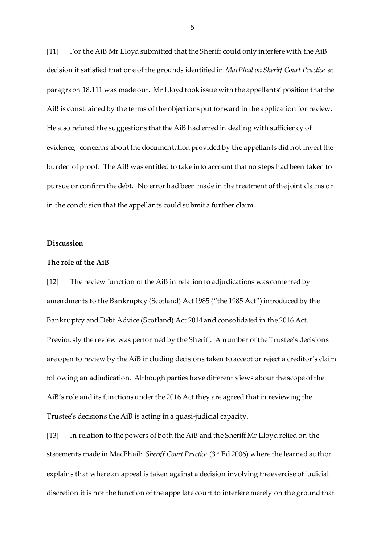[11] For the AiB Mr Lloyd submitted that the Sheriff could only interfere with the AiB decision if satisfied that one of the grounds identified in *MacPhail on Sheriff Court Practice* at paragraph 18.111 was made out. Mr Lloyd took issue with the appellants' position that the AiB is constrained by the terms of the objections put forward in the application for review. He also refuted the suggestions that the AiB had erred in dealing with sufficiency of evidence; concerns about the documentation provided by the appellants did not invert the burden of proof. The AiB was entitled to take into account that no steps had been taken to pursue or confirm the debt. No error had been made in the treatment of the joint claims or in the conclusion that the appellants could submit a further claim.

## **Discussion**

#### **The role of the AiB**

[12] The review function of the AiB in relation to adjudications was conferred by amendments to the Bankruptcy (Scotland) Act 1985 ("the 1985 Act") introduced by the Bankruptcy and Debt Advice (Scotland) Act 2014 and consolidated in the 2016 Act. Previously the review was performed by the Sheriff. A number of the Trustee's decisions are open to review by the AiB including decisions taken to accept or reject a creditor's claim following an adjudication. Although parties have different views about the scope of the AiB's role and its functions under the 2016 Act they are agreed that in reviewing the Trustee's decisions the AiB is acting in a quasi-judicial capacity.

[13] In relation to the powers of both the AiB and the Sheriff Mr Lloyd relied on the statements made in MacPhail: *Sheriff Court Practice* (3rd Ed 2006) where the learned author explains that where an appeal is taken against a decision involving the exercise of judicial discretion it is not the function of the appellate court to interfere merely on the ground that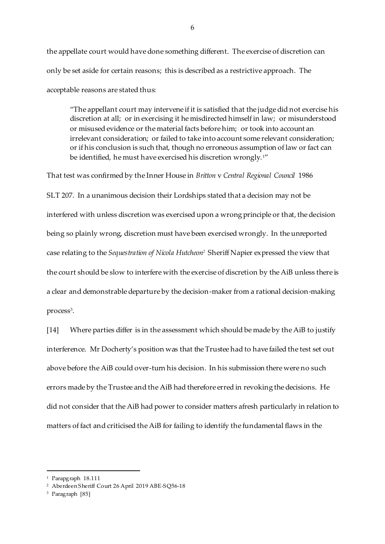the appellate court would have done something different. The exercise of discretion can only be set aside for certain reasons; this is described as a restrictive approach. The acceptable reasons are stated thus:

"The appellant court may intervene if it is satisfied that the judge did not exercise his discretion at all; or in exercising it he misdirected himself in law; or misunderstood or misused evidence or the material facts before him; or took into account an irrelevant consideration; or failed to take into account some relevant consideration; or if his conclusion is such that, though no erroneous assumption of law or fact can be identified, he must have exercised his discretion wrongly.<sup>1"</sup>

That test was confirmed by the Inner House in *Britton* v *Central Regional Council* 1986 SLT 207. In a unanimous decision their Lordships stated that a decision may not be interfered with unless discretion was exercised upon a wrong principle or that, the decision being so plainly wrong, discretion must have been exercised wrongly. In the unreported case relating to the *Sequestration of Nicola Hutcheon<sup>2</sup>* Sheriff Napier expressed the view that the court should be slow to interfere with the exercise of discretion by the AiB unless there is a clear and demonstrable departure by the decision-maker from a rational decision-making process<sup>3</sup>.

[14] Where parties differ is in the assessment which should be made by the AiB to justify interference. Mr Docherty's position was that the Trustee had to have failed the test set out above before the AiB could over-turn his decision. In his submission there were no such errors made by the Trustee and the AiB had therefore erred in revoking the decisions. He did not consider that the AiB had power to consider matters afresh particularly in relation to matters of fact and criticised the AiB for failing to identify the fundamental flaws in the

<sup>1</sup> Parapgraph 18.111

<sup>2</sup> Aberdeen Sheriff Court 26 April 2019 ABE-SQ56-18

<sup>3</sup> Paragraph [85]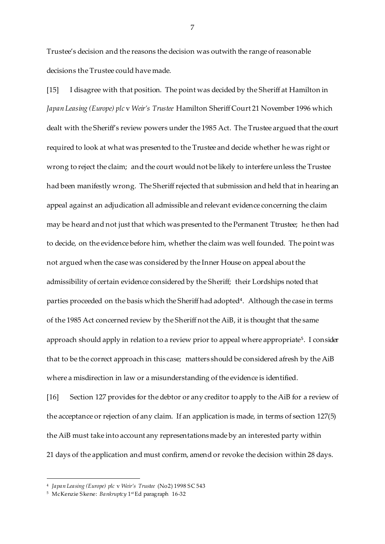Trustee's decision and the reasons the decision was outwith the range of reasonable decisions the Trustee could have made.

[15] I disagree with that position. The point was decided by the Sheriff at Hamilton in *Japan Leasing (Europe) plc* v *Weir's Trustee* Hamilton Sheriff Court 21 November 1996 which dealt with the Sheriff's review powers under the 1985 Act. The Trustee argued that the court required to look at what was presented to the Trustee and decide whether he was right or wrong to reject the claim; and the court would not be likely to interfere unless the Trustee had been manifestly wrong. The Sheriff rejected that submission and held that in hearing an appeal against an adjudication all admissible and relevant evidence concerning the claim may be heard and not just that which was presented to the Permanent Ttrustee; he then had to decide, on the evidence before him, whether the claim was well founded. The point was not argued when the case was considered by the Inner House on appeal about the admissibility of certain evidence considered by the Sheriff; their Lordships noted that parties proceeded on the basis which the Sheriff had adopted<sup>4</sup>. Although the case in terms of the 1985 Act concerned review by the Sheriff not the AiB, it is thought that the same approach should apply in relation to a review prior to appeal where appropriate<sup>5</sup>. I consider that to be the correct approach in this case; matters should be considered afresh by the AiB where a misdirection in law or a misunderstanding of the evidence is identified.

[16] Section 127 provides for the debtor or any creditor to apply to the AiB for a review of the acceptance or rejection of any claim. If an application is made, in terms of section 127(5) the AiB must take into account any representations made by an interested party within 21 days of the application and must confirm, amend or revoke the decision within 28 days.

 $\overline{a}$ 

<sup>4</sup> *Japan Leasing (Europe) plc* v *Weir's Trustee* (No2) 1998 SC 543

<sup>&</sup>lt;sup>5</sup> McKenzie Skene: *Bankruptcy* 1st Ed paragraph 16-32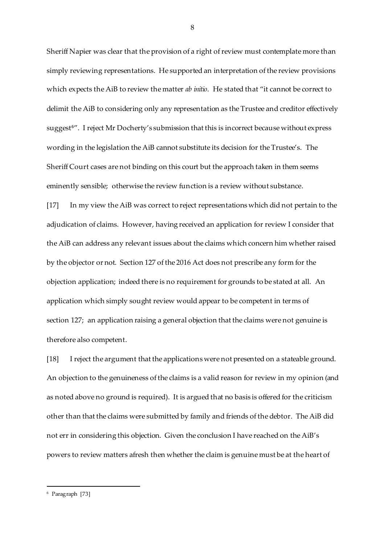Sheriff Napier was clear that the provision of a right of review must contemplate more than simply reviewing representations. He supported an interpretation of the review provisions which expects the AiB to review the matter *ab initio*. He stated that "it cannot be correct to delimit the AiB to considering only any representation as the Trustee and creditor effectively suggest<sup>6"</sup>. I reject Mr Docherty's submission that this is incorrect because without express wording in the legislation the AiB cannot substitute its decision for the Trustee's. The Sheriff Court cases are not binding on this court but the approach taken in them seems eminently sensible; otherwise the review function is a review without substance.

[17] In my view the AiB was correct to reject representations which did not pertain to the adjudication of claims. However, having received an application for review I consider that the AiB can address any relevant issues about the claims which concern him whether raised by the objector or not. Section 127 of the 2016 Act does not prescribe any form for the objection application; indeed there is no requirement for grounds to be stated at all. An application which simply sought review would appear to be competent in terms of section 127; an application raising a general objection that the claims were not genuine is therefore also competent.

[18] I reject the argument that the applications were not presented on a stateable ground. An objection to the genuineness of the claims is a valid reason for review in my opinion (and as noted above no ground is required). It is argued that no basis is offered for the criticism other than that the claims were submitted by family and friends of the debtor. The AiB did not err in considering this objection. Given the conclusion I have reached on the AiB's powers to review matters afresh then whether the claim is genuine must be at the heart of

8

<sup>6</sup> Paragraph [73]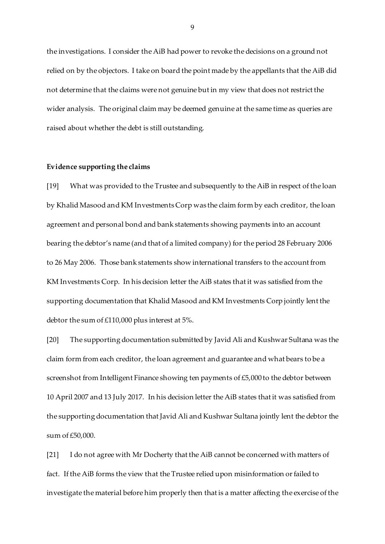the investigations. I consider the AiB had power to revoke the decisions on a ground not relied on by the objectors. I take on board the point made by the appellants that the AiB did not determine that the claims were not genuine but in my view that does not restrict the wider analysis. The original claim may be deemed genuine at the same time as queries are raised about whether the debt is still outstanding.

#### **Evidence supporting the claims**

[19] What was provided to the Trustee and subsequently to the AiB in respect of the loan by Khalid Masood and KM Investments Corp was the claim form by each creditor, the loan agreement and personal bond and bank statements showing payments into an account bearing the debtor's name (and that of a limited company) for the period 28 February 2006 to 26 May 2006. Those bank statements show international transfers to the account from KM Investments Corp. In his decision letter the AiB states that it was satisfied from the supporting documentation that Khalid Masood and KM Investments Corp jointly lent the debtor the sum of £110,000 plus interest at 5%.

[20] The supporting documentation submitted by Javid Ali and Kushwar Sultana was the claim form from each creditor, the loan agreement and guarantee and what bears to be a screenshot from Intelligent Finance showing ten payments of £5,000 to the debtor between 10 April 2007 and 13 July 2017. In his decision letter the AiB states that it was satisfied from the supporting documentation that Javid Ali and Kushwar Sultana jointly lent the debtor the sum of £50,000.

[21] I do not agree with Mr Docherty that the AiB cannot be concerned with matters of fact. If the AiB forms the view that the Trustee relied upon misinformation or failed to investigate the material before him properly then that is a matter affecting the exercise of the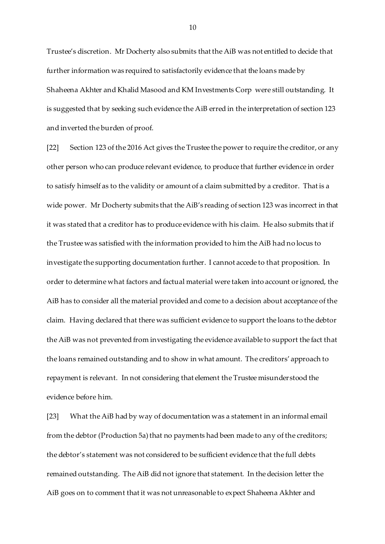Trustee's discretion. Mr Docherty also submits that the AiB was not entitled to decide that further information was required to satisfactorily evidence that the loans made by Shaheena Akhter and Khalid Masood and KM Investments Corp were still outstanding. It is suggested that by seeking such evidence the AiB erred in the interpretation of section 123 and inverted the burden of proof.

[22] Section 123 of the 2016 Act gives the Trustee the power to require the creditor, or any other person who can produce relevant evidence, to produce that further evidence in order to satisfy himself as to the validity or amount of a claim submitted by a creditor. That is a wide power. Mr Docherty submits that the AiB's reading of section 123 was incorrect in that it was stated that a creditor has to produce evidence with his claim. He also submits that if the Trustee was satisfied with the information provided to him the AiB had no locus to investigate the supporting documentation further. I cannot accede to that proposition. In order to determine what factors and factual material were taken into account or ignored, the AiB has to consider all the material provided and come to a decision about acceptance of the claim. Having declared that there was sufficient evidence to support the loans to the debtor the AiB was not prevented from investigating the evidence available to support the fact that the loans remained outstanding and to show in what amount. The creditors' approach to repayment is relevant. In not considering that element the Trustee misunderstood the evidence before him.

[23] What the AiB had by way of documentation was a statement in an informal email from the debtor (Production 5a) that no payments had been made to any of the creditors; the debtor's statement was not considered to be sufficient evidence that the full debts remained outstanding. The AiB did not ignore that statement. In the decision letter the AiB goes on to comment that it was not unreasonable to expect Shaheena Akhter and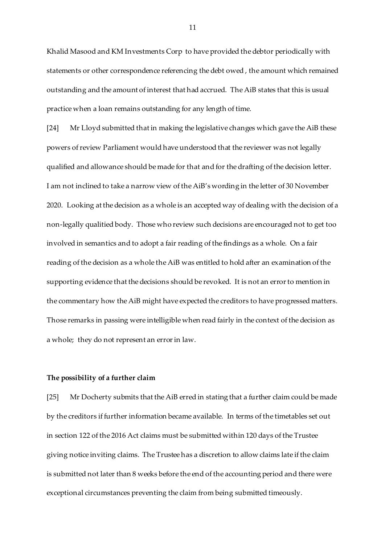Khalid Masood and KM Investments Corp to have provided the debtor periodically with statements or other correspondence referencing the debt owed , the amount which remained outstanding and the amount of interest that had accrued. The AiB states that this is usual practice when a loan remains outstanding for any length of time.

[24] Mr Lloyd submitted that in making the legislative changes which gave the AiB these powers of review Parliament would have understood that the reviewer was not legally qualified and allowance should be made for that and for the drafting of the decision letter. I am not inclined to take a narrow view of the AiB's wording in the letter of 30 November 2020. Looking at the decision as a whole is an accepted way of dealing with the decision of a non-legally qualitied body. Those who review such decisions are encouraged not to get too involved in semantics and to adopt a fair reading of the findings as a whole. On a fair reading of the decision as a whole the AiB was entitled to hold after an examination of the supporting evidence that the decisions should be revoked. It is not an error to mention in the commentary how the AiB might have expected the creditors to have progressed matters. Those remarks in passing were intelligible when read fairly in the context of the decision as a whole; they do not represent an error in law.

### **The possibility of a further claim**

[25] Mr Docherty submits that the AiB erred in stating that a further claim could be made by the creditors if further information became available. In terms of the timetables set out in section 122 of the 2016 Act claims must be submitted within 120 days of the Trustee giving notice inviting claims. The Trustee has a discretion to allow claims late if the claim is submitted not later than 8 weeks before the end of the accounting period and there were exceptional circumstances preventing the claim from being submitted timeously.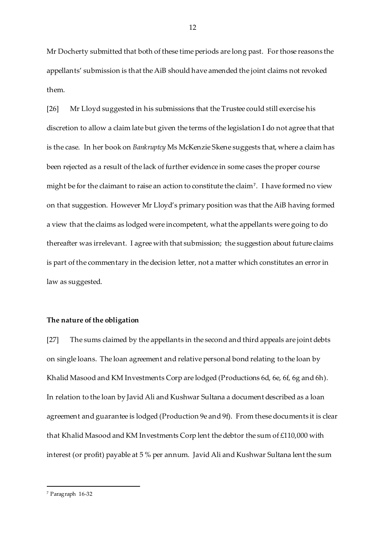Mr Docherty submitted that both of these time periods are long past. For those reasons the appellants' submission is that the AiB should have amended the joint claims not revoked them.

[26] Mr Lloyd suggested in his submissions that the Trustee could still exercise his discretion to allow a claim late but given the terms of the legislation I do not agree that that is the case. In her book on *Bankruptcy* Ms McKenzie Skene suggests that, where a claim has been rejected as a result of the lack of further evidence in some cases the proper course might be for the claimant to raise an action to constitute the claim<sup>7</sup> . I have formed no view on that suggestion. However Mr Lloyd's primary position was that the AiB having formed a view that the claims as lodged were incompetent, what the appellants were going to do thereafter was irrelevant. I agree with that submission; the suggestion about future claims is part of the commentary in the decision letter, not a matter which constitutes an error in law as suggested.

#### **The nature of the obligation**

[27] The sums claimed by the appellants in the second and third appeals are joint debts on single loans. The loan agreement and relative personal bond relating to the loan by Khalid Masood and KM Investments Corp are lodged (Productions 6d, 6e, 6f, 6g and 6h). In relation to the loan by Javid Ali and Kushwar Sultana a document described as a loan agreement and guarantee is lodged (Production 9e and 9f). From these documents it is clear that Khalid Masood and KM Investments Corp lent the debtor the sum of £110,000 with interest (or profit) payable at 5 % per annum. Javid Ali and Kushwar Sultana lent the sum

<sup>7</sup> Paragraph 16-32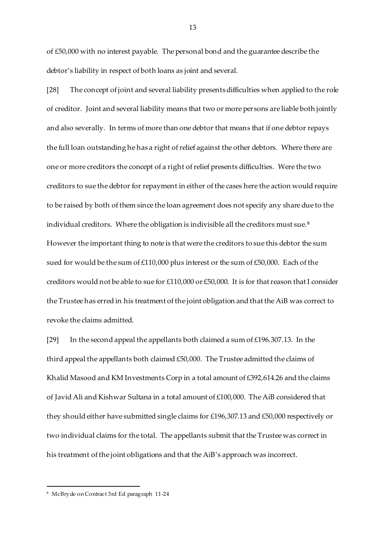of £50,000 with no interest payable. The personal bond and the guarantee describe the debtor's liability in respect of both loans as joint and several.

[28] The concept of joint and several liability presents difficulties when applied to the role of creditor. Joint and several liability means that two or more persons are liable both jointly and also severally. In terms of more than one debtor that means that if one debtor repays the full loan outstanding he has a right of relief against the other debtors. Where there are one or more creditors the concept of a right of relief presents difficulties. Were the two creditors to sue the debtor for repayment in either of the cases here the action would require to be raised by both of them since the loan agreement does not specify any share due to the individual creditors. Where the obligation is indivisible all the creditors must sue. <sup>8</sup> However the important thing to note is that were the creditors to sue this debtor the sum sued for would be the sum of £110,000 plus interest or the sum of £50,000. Each of the creditors would not be able to sue for £110,000 or £50,000. It is for that reason that I consider the Trustee has erred in his treatment of the joint obligation and that the AiB was correct to revoke the claims admitted.

[29] In the second appeal the appellants both claimed a sum of  $£196.307.13$ . In the third appeal the appellants both claimed £50,000. The Trustee admitted the claims of Khalid Masood and KM Investments Corp in a total amount of £392,614.26 and the claims of Javid Ali and Kishwar Sultana in a total amount of £100,000. The AiB considered that they should either have submitted single claims for £196,307.13 and £50,000 respectively or two individual claims for the total. The appellants submit that the Trustee was correct in his treatment of the joint obligations and that the AiB's approach was incorrect.

<sup>8</sup> McBryde on Contract 3rd Ed paragraph 11-24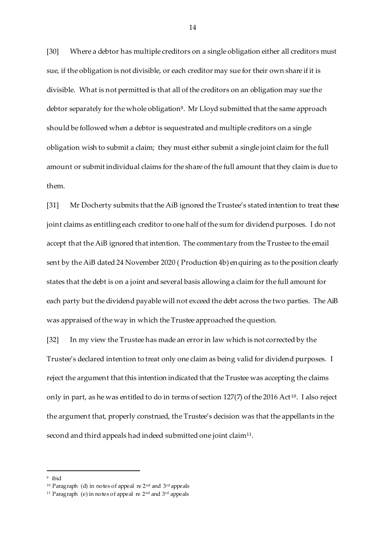[30] Where a debtor has multiple creditors on a single obligation either all creditors must sue, if the obligation is not divisible, or each creditor may sue for their own share if it is divisible. What is not permitted is that all of the creditors on an obligation may sue the debtor separately for the whole obligation<sup>9</sup> . Mr Lloyd submitted that the same approach should be followed when a debtor is sequestrated and multiple creditors on a single obligation wish to submit a claim; they must either submit a single joint claim for the full amount or submit individual claims for the share of the full amount that they claim is due to them.

[31] Mr Docherty submits that the AiB ignored the Trustee's stated intention to treat these joint claims as entitling each creditor to one half of the sum for dividend purposes. I do not accept that the AiB ignored that intention. The commentary from the Trustee to the email sent by the AiB dated 24 November 2020 ( Production 4b) enquiring as to the position clearly states that the debt is on a joint and several basis allowing a claim for the full amount for each party but the dividend payable will not exceed the debt across the two parties. The AiB was appraised of the way in which the Trustee approached the question.

[32] In my view the Trustee has made an error in law which is not corrected by the Trustee's declared intention to treat only one claim as being valid for dividend purposes. I reject the argument that this intention indicated that the Trustee was accepting the claims only in part, as he was entitled to do in terms of section 127(7) of the 2016 Act<sup>10</sup>. I also reject the argument that, properly construed, the Trustee's decision was that the appellants in the second and third appeals had indeed submitted one joint claim $^{\rm 11}.$ 

 $\overline{a}$ 

<sup>9</sup> ibid

<sup>10</sup> Paragraph (d) in notes of appeal re 2nd and 3rd appeals

<sup>&</sup>lt;sup>11</sup> Paragraph (e) in notes of appeal re 2<sup>nd</sup> and 3<sup>rd</sup> appeals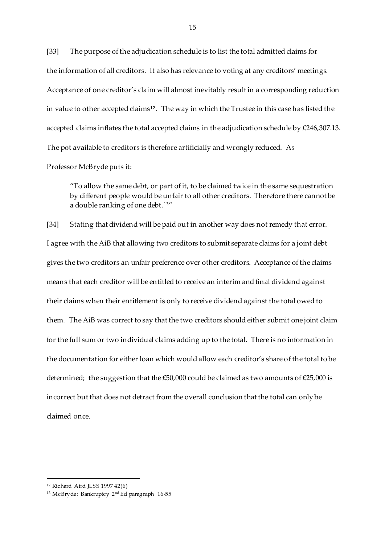[33] The purpose of the adjudication schedule is to list the total admitted claims for the information of all creditors. It also has relevance to voting at any creditors' meetings. Acceptance of one creditor's claim will almost inevitably result in a corresponding reduction in value to other accepted claims $^{\rm 12}.$  The way in which the Trustee in this case has listed the accepted claims inflates the total accepted claims in the adjudication schedule by £246,307.13. The pot available to creditors is therefore artificially and wrongly reduced. As

Professor McBryde puts it:

"To allow the same debt, or part of it, to be claimed twice in the same sequestration by different people would be unfair to all other creditors. Therefore there cannot be a double ranking of one debt.<sup>13"</sup>

[34] Stating that dividend will be paid out in another way does not remedy that error. I agree with the AiB that allowing two creditors to submit separate claims for a joint debt gives the two creditors an unfair preference over other creditors. Acceptance of the claims means that each creditor will be entitled to receive an interim and final dividend against their claims when their entitlement is only to receive dividend against the total owed to them. The AiB was correct to say that the two creditors should either submit one joint claim for the full sum or two individual claims adding up to the total. There is no information in the documentation for either loan which would allow each creditor's share of the total to be determined; the suggestion that the £50,000 could be claimed as two amounts of £25,000 is incorrect but that does not detract from the overall conclusion that the total can only be claimed once.

<sup>12</sup> Richard Aird JLSS 1997 42(6)

<sup>13</sup> McBryde: Bankruptcy 2nd Ed paragraph 16-55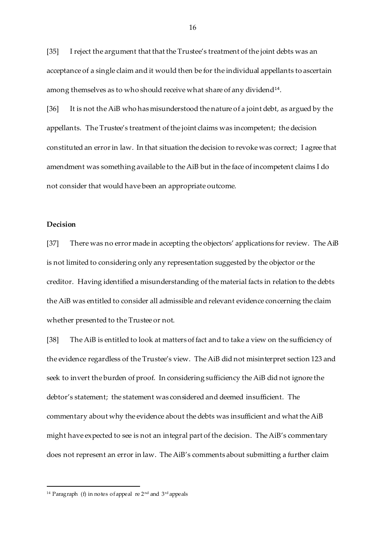[35] I reject the argument that that the Trustee's treatment of the joint debts was an acceptance of a single claim and it would then be for the individual appellants to ascertain among themselves as to who should receive what share of any dividend $^{\text{14}}$ .

[36] It is not the AiB who has misunderstood the nature of a joint debt, as argued by the appellants. The Trustee's treatment of the joint claims was incompetent; the decision constituted an error in law. In that situation the decision to revoke was correct; I agree that amendment was something available to the AiB but in the face of incompetent claims I do not consider that would have been an appropriate outcome.

# **Decision**

 $\overline{a}$ 

[37] There was no error made in accepting the objectors' applications for review. The AiB is not limited to considering only any representation suggested by the objector or the creditor. Having identified a misunderstanding of the material facts in relation to the debts the AiB was entitled to consider all admissible and relevant evidence concerning the claim whether presented to the Trustee or not.

[38] The AiB is entitled to look at matters of fact and to take a view on the sufficiency of the evidence regardless of the Trustee's view. The AiB did not misinterpret section 123 and seek to invert the burden of proof. In considering sufficiency the AiB did not ignore the debtor's statement; the statement was considered and deemed insufficient. The commentary about why the evidence about the debts was insufficient and what the AiB might have expected to see is not an integral part of the decision. The AiB's commentary does not represent an error in law. The AiB's comments about submitting a further claim

<sup>14</sup> Paragraph (f) in notes of appeal re 2nd and 3rd appeals